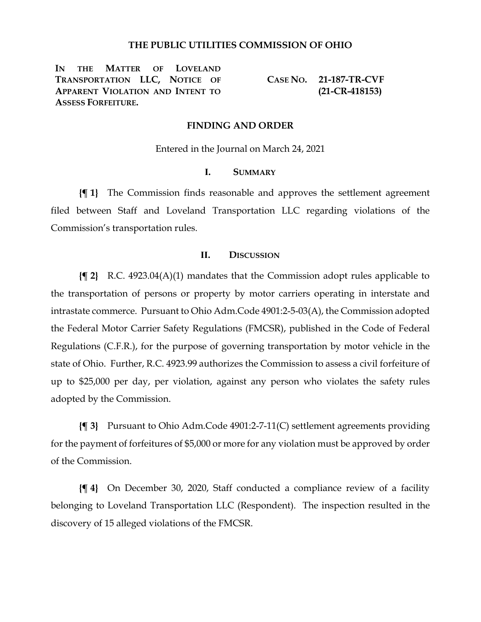### **THE PUBLIC UTILITIES COMMISSION OF OHIO**

**IN THE MATTER OF LOVELAND TRANSPORTATION LLC, NOTICE OF APPARENT VIOLATION AND INTENT TO ASSESS FORFEITURE.**

**CASE NO. 21-187-TR-CVF (21-CR-418153)**

### **FINDING AND ORDER**

Entered in the Journal on March 24, 2021

### **I. SUMMARY**

**{¶ 1}** The Commission finds reasonable and approves the settlement agreement filed between Staff and Loveland Transportation LLC regarding violations of the Commission's transportation rules.

## **II. DISCUSSION**

**{¶ 2}** R.C. 4923.04(A)(1) mandates that the Commission adopt rules applicable to the transportation of persons or property by motor carriers operating in interstate and intrastate commerce. Pursuant to Ohio Adm.Code 4901:2-5-03(A), the Commission adopted the Federal Motor Carrier Safety Regulations (FMCSR), published in the Code of Federal Regulations (C.F.R.), for the purpose of governing transportation by motor vehicle in the state of Ohio. Further, R.C. 4923.99 authorizes the Commission to assess a civil forfeiture of up to \$25,000 per day, per violation, against any person who violates the safety rules adopted by the Commission.

**{¶ 3}** Pursuant to Ohio Adm.Code 4901:2-7-11(C) settlement agreements providing for the payment of forfeitures of \$5,000 or more for any violation must be approved by order of the Commission.

**{¶ 4}** On December 30, 2020, Staff conducted a compliance review of a facility belonging to Loveland Transportation LLC (Respondent). The inspection resulted in the discovery of 15 alleged violations of the FMCSR.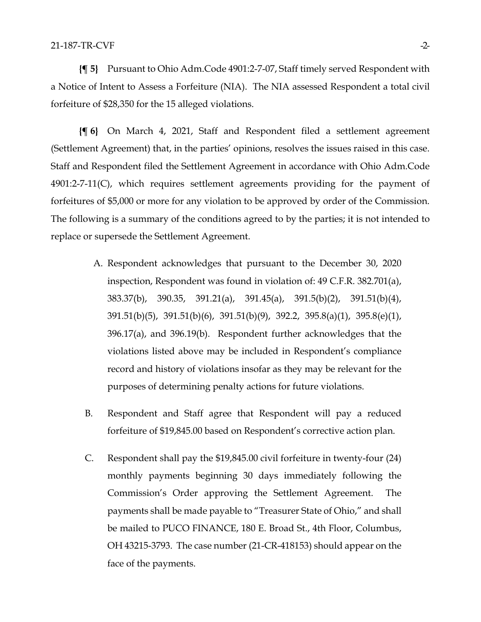**{¶ 5}** Pursuant to Ohio Adm.Code 4901:2-7-07, Staff timely served Respondent with a Notice of Intent to Assess a Forfeiture (NIA). The NIA assessed Respondent a total civil forfeiture of \$28,350 for the 15 alleged violations.

**{¶ 6}** On March 4, 2021, Staff and Respondent filed a settlement agreement (Settlement Agreement) that, in the parties' opinions, resolves the issues raised in this case. Staff and Respondent filed the Settlement Agreement in accordance with Ohio Adm.Code 4901:2-7-11(C), which requires settlement agreements providing for the payment of forfeitures of \$5,000 or more for any violation to be approved by order of the Commission. The following is a summary of the conditions agreed to by the parties; it is not intended to replace or supersede the Settlement Agreement.

- A. Respondent acknowledges that pursuant to the December 30, 2020 inspection, Respondent was found in violation of: 49 C.F.R. 382.701(a), 383.37(b), 390.35, 391.21(a), 391.45(a), 391.5(b)(2), 391.51(b)(4), 391.51(b)(5), 391.51(b)(6), 391.51(b)(9), 392.2, 395.8(a)(1), 395.8(e)(1), 396.17(a), and 396.19(b). Respondent further acknowledges that the violations listed above may be included in Respondent's compliance record and history of violations insofar as they may be relevant for the purposes of determining penalty actions for future violations.
- B. Respondent and Staff agree that Respondent will pay a reduced forfeiture of \$19,845.00 based on Respondent's corrective action plan.
- C. Respondent shall pay the \$19,845.00 civil forfeiture in twenty-four (24) monthly payments beginning 30 days immediately following the Commission's Order approving the Settlement Agreement. The payments shall be made payable to "Treasurer State of Ohio," and shall be mailed to PUCO FINANCE, 180 E. Broad St., 4th Floor, Columbus, OH 43215-3793. The case number (21-CR-418153) should appear on the face of the payments.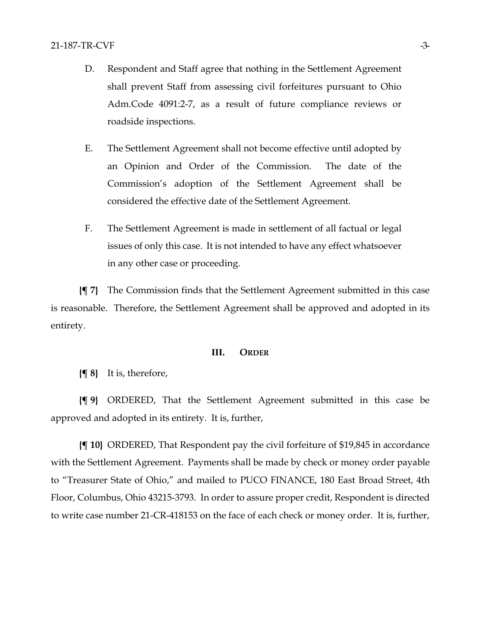- D. Respondent and Staff agree that nothing in the Settlement Agreement shall prevent Staff from assessing civil forfeitures pursuant to Ohio Adm.Code 4091:2-7, as a result of future compliance reviews or roadside inspections.
- E. The Settlement Agreement shall not become effective until adopted by an Opinion and Order of the Commission. The date of the Commission's adoption of the Settlement Agreement shall be considered the effective date of the Settlement Agreement.
- F. The Settlement Agreement is made in settlement of all factual or legal issues of only this case. It is not intended to have any effect whatsoever in any other case or proceeding.

**{¶ 7}** The Commission finds that the Settlement Agreement submitted in this case is reasonable. Therefore, the Settlement Agreement shall be approved and adopted in its entirety.

#### **III. ORDER**

**{¶ 8}** It is, therefore,

**{¶ 9}** ORDERED, That the Settlement Agreement submitted in this case be approved and adopted in its entirety. It is, further,

**{¶ 10}** ORDERED, That Respondent pay the civil forfeiture of \$19,845 in accordance with the Settlement Agreement. Payments shall be made by check or money order payable to "Treasurer State of Ohio," and mailed to PUCO FINANCE, 180 East Broad Street, 4th Floor, Columbus, Ohio 43215-3793. In order to assure proper credit, Respondent is directed to write case number 21-CR-418153 on the face of each check or money order. It is, further,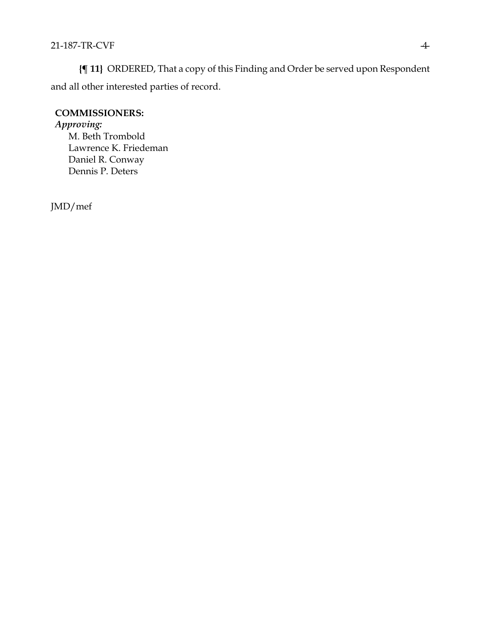**{¶ 11}** ORDERED, That a copy of this Finding and Order be served upon Respondent and all other interested parties of record.

## **COMMISSIONERS:**

# *Approving:*

M. Beth Trombold Lawrence K. Friedeman Daniel R. Conway Dennis P. Deters

JMD/mef